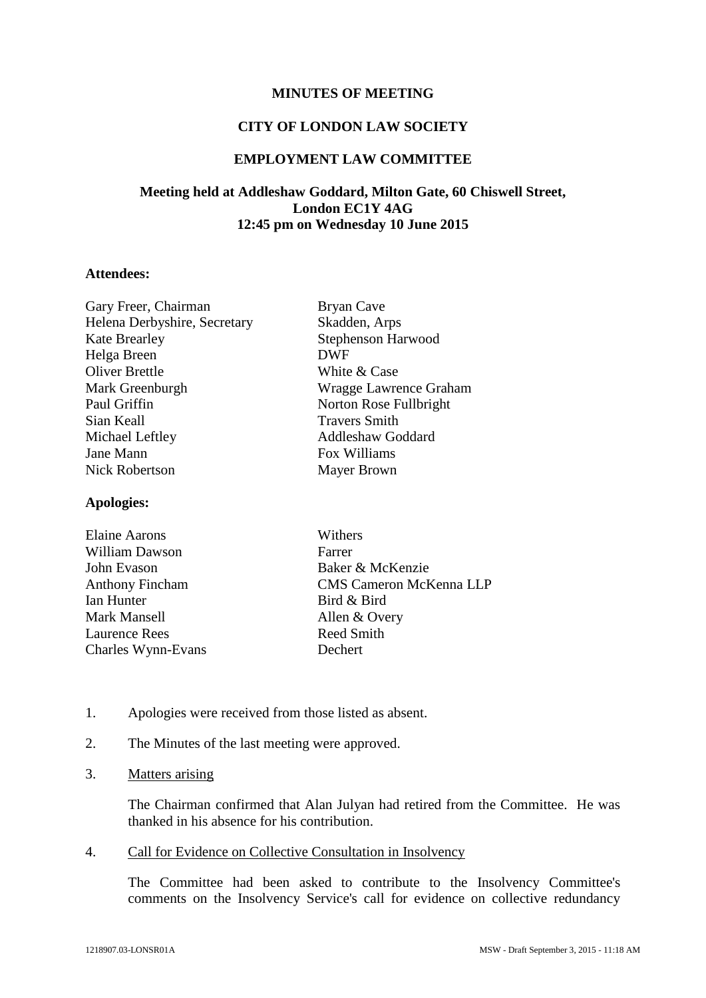## **MINUTES OF MEETING**

### **CITY OF LONDON LAW SOCIETY**

## **EMPLOYMENT LAW COMMITTEE**

# **Meeting held at Addleshaw Goddard, Milton Gate, 60 Chiswell Street, London EC1Y 4AG 12:45 pm on Wednesday 10 June 2015**

#### **Attendees:**

| Gary Freer, Chairman         | Bryan Cave               |
|------------------------------|--------------------------|
| Helena Derbyshire, Secretary | Skadden, Arps            |
| <b>Kate Brearley</b>         | Stephenson Harwood       |
| Helga Breen                  | <b>DWF</b>               |
| <b>Oliver Brettle</b>        | White & Case             |
| Mark Greenburgh              | Wragge Lawrence Graham   |
| Paul Griffin                 | Norton Rose Fullbright   |
| Sian Keall                   | <b>Travers Smith</b>     |
| Michael Leftley              | <b>Addleshaw Goddard</b> |
| Jane Mann                    | Fox Williams             |
| <b>Nick Robertson</b>        | Mayer Brown              |
| Apologies:                   |                          |

| <b>Elaine Aarons</b>   | Withers                        |
|------------------------|--------------------------------|
| William Dawson         | Farrer                         |
| John Evason            | Baker & McKenzie               |
| <b>Anthony Fincham</b> | <b>CMS Cameron McKenna LLP</b> |
| Ian Hunter             | Bird & Bird                    |
| Mark Mansell           | Allen & Overy                  |
| <b>Laurence Rees</b>   | Reed Smith                     |
| Charles Wynn-Evans     | Dechert                        |

- 1. Apologies were received from those listed as absent.
- 2. The Minutes of the last meeting were approved.
- 3. Matters arising

The Chairman confirmed that Alan Julyan had retired from the Committee. He was thanked in his absence for his contribution.

4. Call for Evidence on Collective Consultation in Insolvency

The Committee had been asked to contribute to the Insolvency Committee's comments on the Insolvency Service's call for evidence on collective redundancy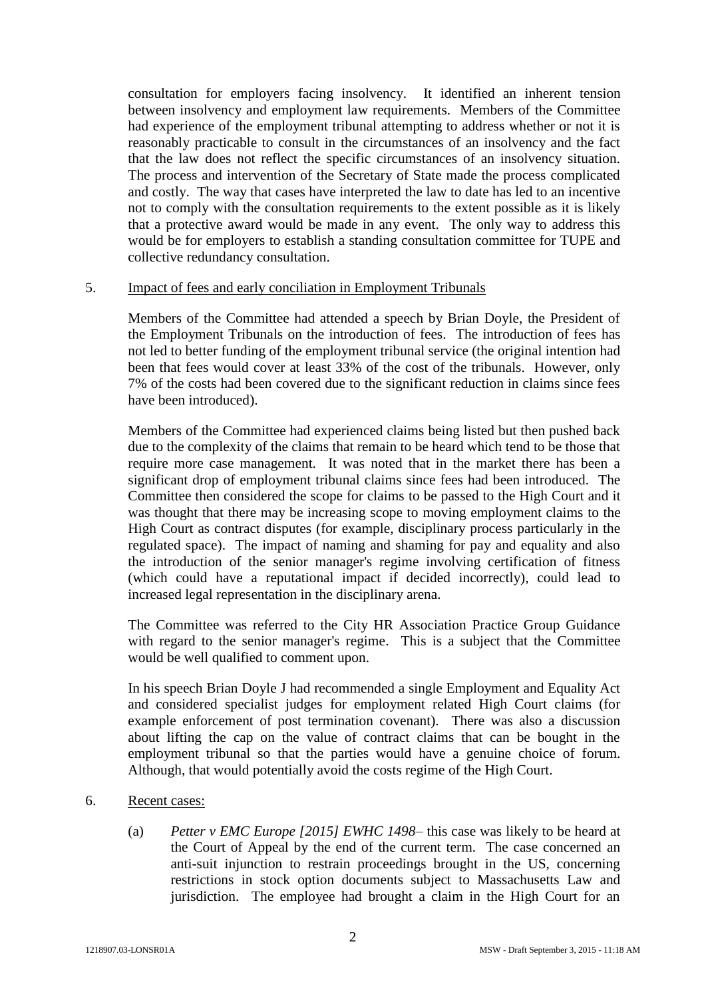consultation for employers facing insolvency. It identified an inherent tension between insolvency and employment law requirements. Members of the Committee had experience of the employment tribunal attempting to address whether or not it is reasonably practicable to consult in the circumstances of an insolvency and the fact that the law does not reflect the specific circumstances of an insolvency situation. The process and intervention of the Secretary of State made the process complicated and costly. The way that cases have interpreted the law to date has led to an incentive not to comply with the consultation requirements to the extent possible as it is likely that a protective award would be made in any event. The only way to address this would be for employers to establish a standing consultation committee for TUPE and collective redundancy consultation.

## 5. Impact of fees and early conciliation in Employment Tribunals

Members of the Committee had attended a speech by Brian Doyle, the President of the Employment Tribunals on the introduction of fees. The introduction of fees has not led to better funding of the employment tribunal service (the original intention had been that fees would cover at least 33% of the cost of the tribunals. However, only 7% of the costs had been covered due to the significant reduction in claims since fees have been introduced).

Members of the Committee had experienced claims being listed but then pushed back due to the complexity of the claims that remain to be heard which tend to be those that require more case management. It was noted that in the market there has been a significant drop of employment tribunal claims since fees had been introduced. The Committee then considered the scope for claims to be passed to the High Court and it was thought that there may be increasing scope to moving employment claims to the High Court as contract disputes (for example, disciplinary process particularly in the regulated space). The impact of naming and shaming for pay and equality and also the introduction of the senior manager's regime involving certification of fitness (which could have a reputational impact if decided incorrectly), could lead to increased legal representation in the disciplinary arena.

The Committee was referred to the City HR Association Practice Group Guidance with regard to the senior manager's regime. This is a subject that the Committee would be well qualified to comment upon.

In his speech Brian Doyle J had recommended a single Employment and Equality Act and considered specialist judges for employment related High Court claims (for example enforcement of post termination covenant). There was also a discussion about lifting the cap on the value of contract claims that can be bought in the employment tribunal so that the parties would have a genuine choice of forum. Although, that would potentially avoid the costs regime of the High Court.

- 6. Recent cases:
	- (a) *Petter v EMC Europe [2015] EWHC 1498* this case was likely to be heard at the Court of Appeal by the end of the current term. The case concerned an anti-suit injunction to restrain proceedings brought in the US, concerning restrictions in stock option documents subject to Massachusetts Law and jurisdiction. The employee had brought a claim in the High Court for an